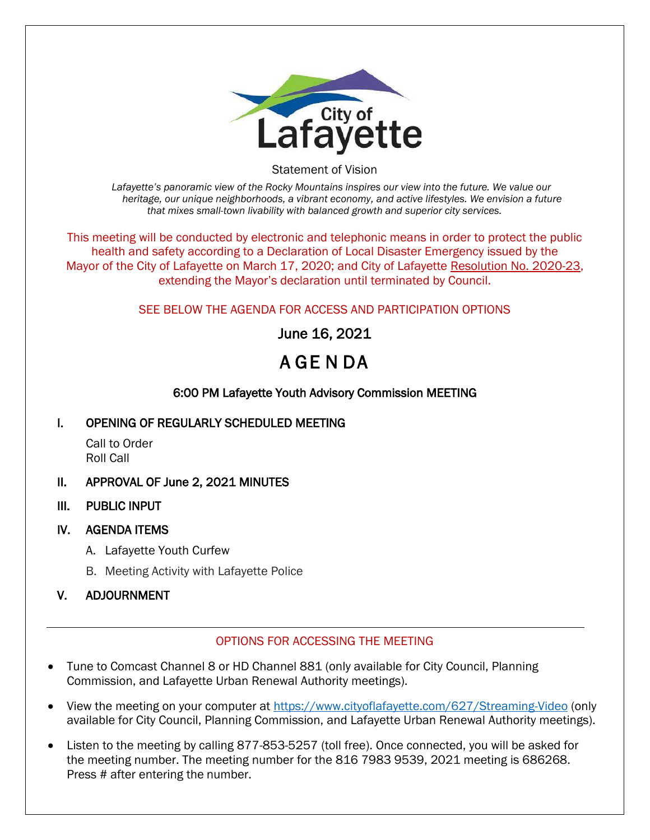

Statement of Vision

*Lafayette's panoramic view of the Rocky Mountains inspires our view into the future. We value our heritage, our unique neighborhoods, a vibrant economy, and active lifestyles. We envision a future that mixes small-town livability with balanced growth and superior city services.*

This meeting will be conducted by electronic and telephonic means in order to protect the public health and safety according to a Declaration of Local Disaster Emergency issued by the Mayor of the City of Lafayette on March 17, 2020; and City of Lafayette Resolution No. 2020-23, extending the Mayor's declaration until terminated by Council.

### SEE BELOW THE AGENDA FOR ACCESS AND PARTICIPATION OPTIONS

June 16, 2021

# A GE N DA

### 6:00 PM Lafayette Youth Advisory Commission MEETING

#### I. OPENING OF REGULARLY SCHEDULED MEETING

Call to Order Roll Call

#### II. APPROVAL OF June 2, 2021 MINUTES

III. PUBLIC INPUT

#### IV. AGENDA ITEMS

- A. Lafayette Youth Curfew
- B. Meeting Activity with Lafayette Police

## V. ADJOURNMENT

#### OPTIONS FOR ACCESSING THE MEETING

- Tune to Comcast Channel 8 or HD Channel 881 (only available for City Council, Planning Commission, and Lafayette Urban Renewal Authority meetings).
- View the meeting on your computer at<https://www.cityoflafayette.com/627/Streaming-Video> (only available for City Council, Planning Commission, and Lafayette Urban Renewal Authority meetings).
- Listen to the meeting by calling 877-853-5257 (toll free). Once connected, you will be asked for the meeting number. The meeting number for the 816 7983 9539, 2021 meeting is 686268. Press # after entering the number.